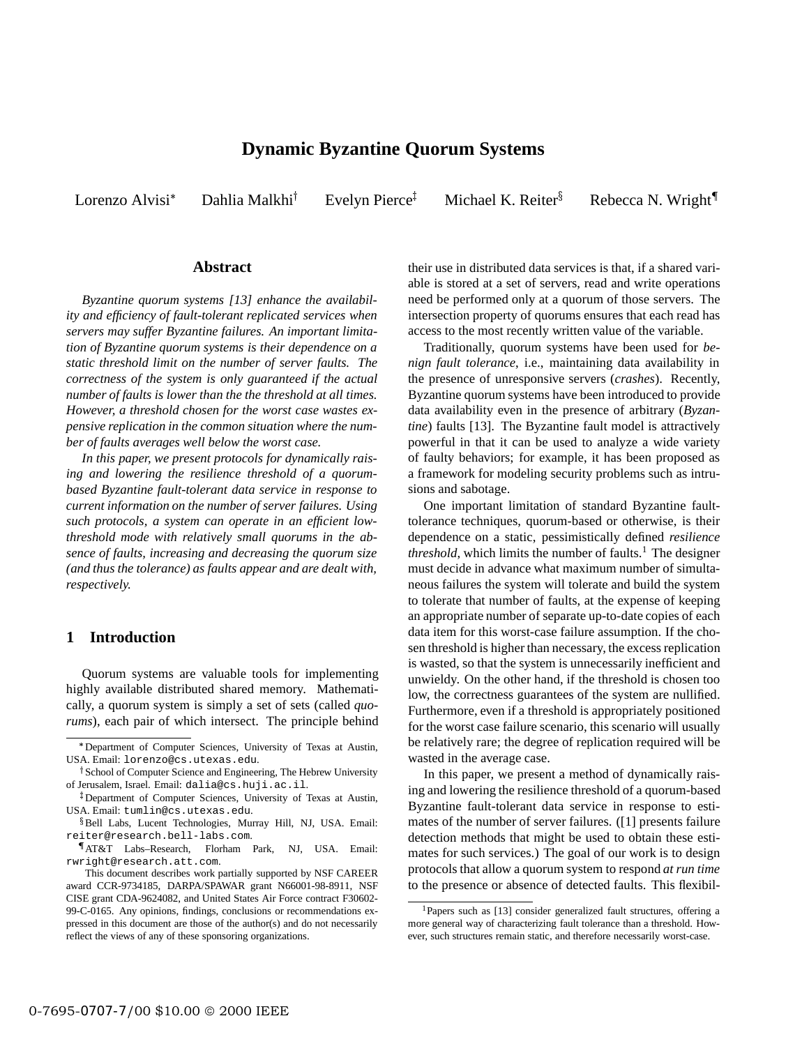# **Dynamic Byzantine Quorum Systems**

Lorenzo Alvisi

Dahlia Malkhi<sup>†</sup>

Evelyn Pierce<sup>†</sup>

Michael K. Reiter $\frac{1}{3}$ 

Rebecca N. Wright{

## **Abstract**

*Byzantine quorum systems [13] enhance the availability and efficiency of fault-tolerant replicated services when servers may suffer Byzantine failures. An important limitation of Byzantine quorum systems is their dependence on a static threshold limit on the number of server faults. The correctness of the system is only guaranteed if the actual number of faults is lower than the the threshold at all times. However, a threshold chosen for the worst case wastes expensive replication in the common situation where the number of faults averages well below the worst case.*

*In this paper, we present protocols for dynamically raising and lowering the resilience threshold of a quorumbased Byzantine fault-tolerant data service in response to current information on the number of server failures. Using such protocols, a system can operate in an efficient lowthreshold mode with relatively small quorums in the absence of faults, increasing and decreasing the quorum size (and thus the tolerance) as faults appear and are dealt with, respectively.*

## **1 Introduction**

Quorum systems are valuable tools for implementing highly available distributed shared memory. Mathematically, a quorum system is simply a set of sets (called *quorums*), each pair of which intersect. The principle behind their use in distributed data services is that, if a shared variable is stored at a set of servers, read and write operations need be performed only at a quorum of those servers. The intersection property of quorums ensures that each read has access to the most recently written value of the variable.

Traditionally, quorum systems have been used for *benign fault tolerance*, i.e., maintaining data availability in the presence of unresponsive servers (*crashes*). Recently, Byzantine quorum systems have been introduced to provide data availability even in the presence of arbitrary (*Byzantine*) faults [13]. The Byzantine fault model is attractively powerful in that it can be used to analyze a wide variety of faulty behaviors; for example, it has been proposed as a framework for modeling security problems such as intrusions and sabotage.

One important limitation of standard Byzantine faulttolerance techniques, quorum-based or otherwise, is their dependence on a static, pessimistically defined *resilience threshold*, which limits the number of faults.<sup>1</sup> The designer must decide in advance what maximum number of simultaneous failures the system will tolerate and build the system to tolerate that number of faults, at the expense of keeping an appropriate number of separate up-to-date copies of each data item for this worst-case failure assumption. If the chosen threshold is higher than necessary, the excess replication is wasted, so that the system is unnecessarily inefficient and unwieldy. On the other hand, if the threshold is chosen too low, the correctness guarantees of the system are nullified. Furthermore, even if a threshold is appropriately positioned for the worst case failure scenario, this scenario will usually be relatively rare; the degree of replication required will be wasted in the average case.

In this paper, we present a method of dynamically raising and lowering the resilience threshold of a quorum-based Byzantine fault-tolerant data service in response to estimates of the number of server failures. ([1] presents failure detection methods that might be used to obtain these estimates for such services.) The goal of our work is to design protocols that allow a quorum system to respond *at run time* to the presence or absence of detected faults. This flexibil-

Department of Computer Sciences, University of Texas at Austin, USA. Email: lorenzo@cs.utexas.edu.

<sup>&</sup>lt;sup>†</sup> School of Computer Science and Engineering, The Hebrew University of Jerusalem, Israel. Email: dalia@cs.huji.ac.il.

<sup>&</sup>lt;sup>‡</sup>Department of Computer Sciences, University of Texas at Austin, USA. Email: tumlin@cs.utexas.edu.

<sup>&</sup>lt;sup>§</sup> Bell Labs, Lucent Technologies, Murray Hill, NJ, USA. Email: reiter@research.bell-labs.com.

<sup>{</sup> AT&T Labs–Research, Florham Park, NJ, USA. Email: rwright@research.att.com.

This document describes work partially supported by NSF CAREER award CCR-9734185, DARPA/SPAWAR grant N66001-98-8911, NSF CISE grant CDA-9624082, and United States Air Force contract F30602- 99-C-0165. Any opinions, findings, conclusions or recommendations expressed in this document are those of the author(s) and do not necessarily reflect the views of any of these sponsoring organizations.

<sup>&</sup>lt;sup>1</sup>Papers such as [13] consider generalized fault structures, offering a more general way of characterizing fault tolerance than a threshold. However, such structures remain static, and therefore necessarily worst-case.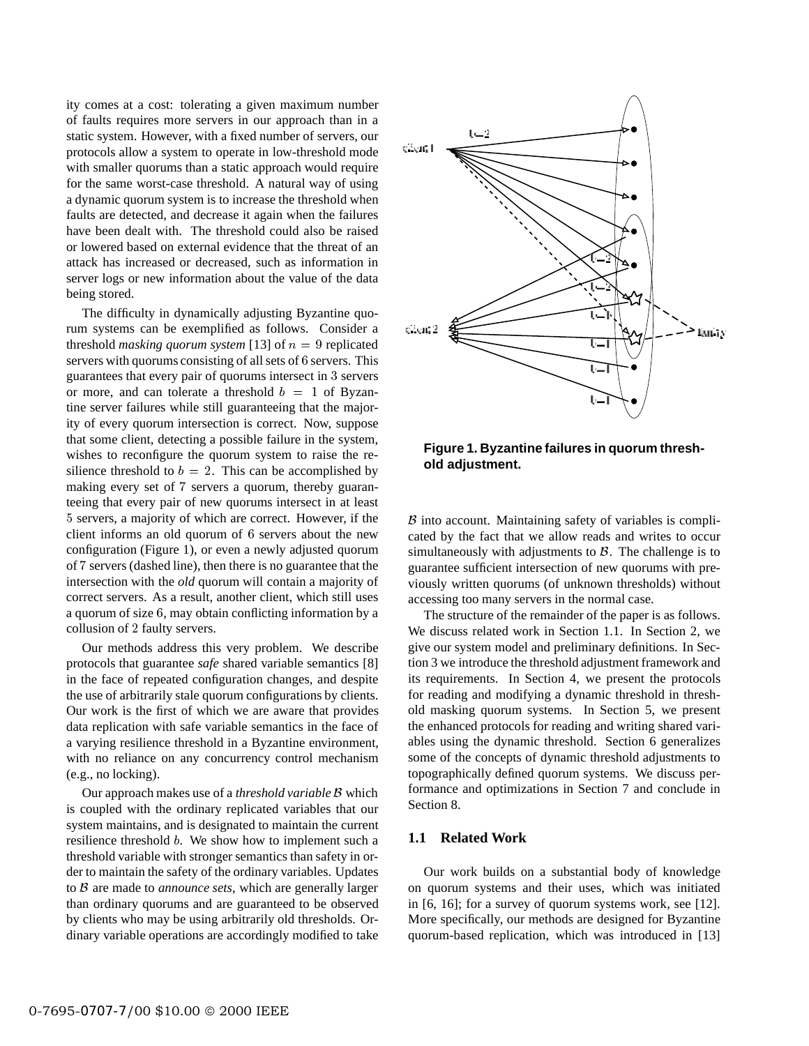ity comes at a cost: tolerating a given maximum number of faults requires more servers in our approach than in a static system. However, with a fixed number of servers, our protocols allow a system to operate in low-threshold mode with smaller quorums than a static approach would require for the same worst-case threshold. A natural way of using a dynamic quorum system is to increase the threshold when faults are detected, and decrease it again when the failures have been dealt with. The threshold could also be raised or lowered based on external evidence that the threat of an attack has increased or decreased, such as information in server logs or new information about the value of the data being stored.

The difficulty in dynamically adjusting Byzantine quorum systems can be exemplified as follows. Consider a threshold *masking quorum system* [13] of  $n = 9$  replicated servers with quorums consisting of all sets of <sup>6</sup> servers. This guarantees that every pair of quorums intersect in <sup>3</sup> servers or more, and can tolerate a threshold  $b = 1$  of Byzantine server failures while still guaranteeing that the majority of every quorum intersection is correct. Now, suppose that some client, detecting a possible failure in the system, wishes to reconfigure the quorum system to raise the resilience threshold to  $b = 2$ . This can be accomplished by making every set of <sup>7</sup> servers a quorum, thereby guaranteeing that every pair of new quorums intersect in at least <sup>5</sup> servers, a majority of which are correct. However, if the client informs an old quorum of <sup>6</sup> servers about the new configuration (Figure 1), or even a newly adjusted quorum of <sup>7</sup> servers (dashed line), then there is no guarantee that the intersection with the *old* quorum will contain a majority of correct servers. As a result, another client, which still uses a quorum of size <sup>6</sup>, may obtain conflicting information by a collusion of <sup>2</sup> faulty servers.

Our methods address this very problem. We describe protocols that guarantee *safe* shared variable semantics [8] in the face of repeated configuration changes, and despite the use of arbitrarily stale quorum configurations by clients. Our work is the first of which we are aware that provides data replication with safe variable semantics in the face of a varying resilience threshold in a Byzantine environment, with no reliance on any concurrency control mechanism (e.g., no locking).

Our approach makes use of a *threshold variable* <sup>B</sup> which is coupled with the ordinary replicated variables that our system maintains, and is designated to maintain the current resilience threshold <sup>b</sup>. We show how to implement such a threshold variable with stronger semantics than safety in order to maintain the safety of the ordinary variables. Updates to <sup>B</sup> are made to *announce sets*, which are generally larger than ordinary quorums and are guaranteed to be observed by clients who may be using arbitrarily old thresholds. Ordinary variable operations are accordingly modified to take



**Figure 1. Byzantine failures in quorum threshold adjustment.**

 $B$  into account. Maintaining safety of variables is complicated by the fact that we allow reads and writes to occur simultaneously with adjustments to  $\beta$ . The challenge is to guarantee sufficient intersection of new quorums with previously written quorums (of unknown thresholds) without accessing too many servers in the normal case.

The structure of the remainder of the paper is as follows. We discuss related work in Section 1.1. In Section 2, we give our system model and preliminary definitions. In Section 3 we introduce the threshold adjustment framework and its requirements. In Section 4, we present the protocols for reading and modifying a dynamic threshold in threshold masking quorum systems. In Section 5, we present the enhanced protocols for reading and writing shared variables using the dynamic threshold. Section 6 generalizes some of the concepts of dynamic threshold adjustments to topographically defined quorum systems. We discuss performance and optimizations in Section 7 and conclude in Section 8.

# **1.1 Related Work**

Our work builds on a substantial body of knowledge on quorum systems and their uses, which was initiated in [6, 16]; for a survey of quorum systems work, see [12]. More specifically, our methods are designed for Byzantine quorum-based replication, which was introduced in [13]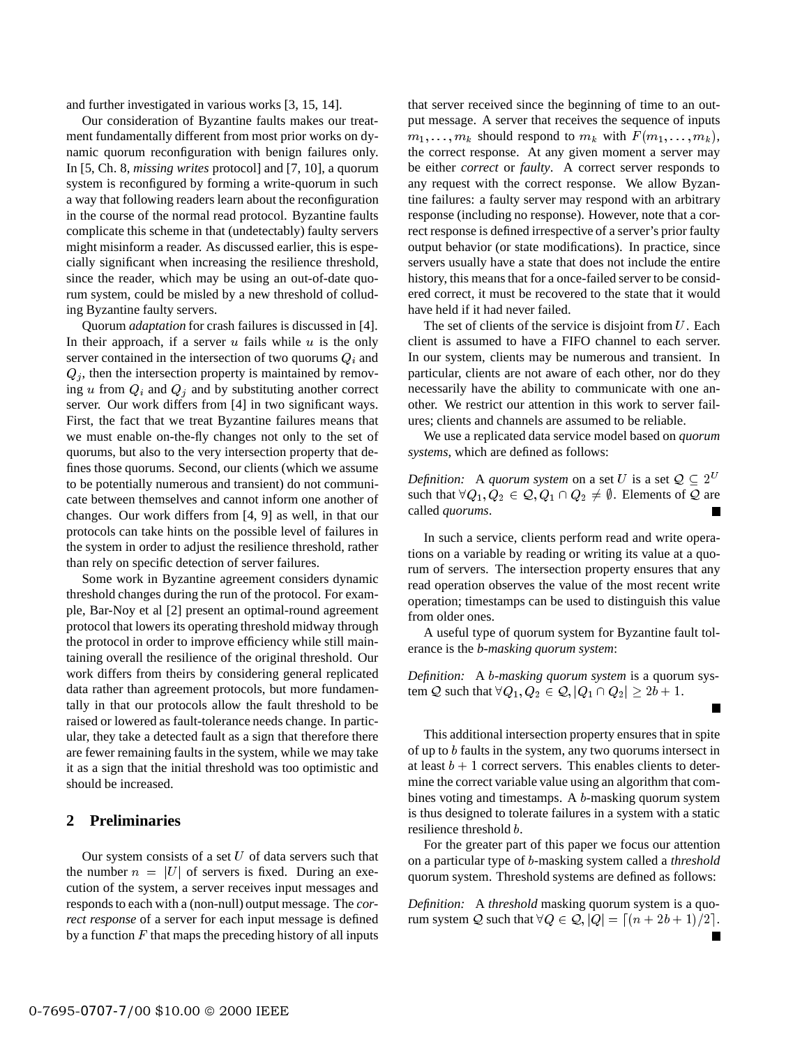and further investigated in various works [3, 15, 14].

Our consideration of Byzantine faults makes our treatment fundamentally different from most prior works on dynamic quorum reconfiguration with benign failures only. In [5, Ch. 8, *missing writes* protocol] and [7, 10], a quorum system is reconfigured by forming a write-quorum in such a way that following readers learn about the reconfiguration in the course of the normal read protocol. Byzantine faults complicate this scheme in that (undetectably) faulty servers might misinform a reader. As discussed earlier, this is especially significant when increasing the resilience threshold, since the reader, which may be using an out-of-date quorum system, could be misled by a new threshold of colluding Byzantine faulty servers.

Quorum *adaptation* for crash failures is discussed in [4]. In their approach, if a server  $u$  fails while  $u$  is the only server contained in the intersection of two quorums  $Q_i$  and  $Q_i$ , then the intersection property is maintained by removing u from  $Q_i$  and  $Q_j$  and by substituting another correct server. Our work differs from [4] in two significant ways. First, the fact that we treat Byzantine failures means that we must enable on-the-fly changes not only to the set of quorums, but also to the very intersection property that defines those quorums. Second, our clients (which we assume to be potentially numerous and transient) do not communicate between themselves and cannot inform one another of changes. Our work differs from [4, 9] as well, in that our protocols can take hints on the possible level of failures in the system in order to adjust the resilience threshold, rather than rely on specific detection of server failures.

Some work in Byzantine agreement considers dynamic threshold changes during the run of the protocol. For example, Bar-Noy et al [2] present an optimal-round agreement protocol that lowers its operating threshold midway through the protocol in order to improve efficiency while still maintaining overall the resilience of the original threshold. Our work differs from theirs by considering general replicated data rather than agreement protocols, but more fundamentally in that our protocols allow the fault threshold to be raised or lowered as fault-tolerance needs change. In particular, they take a detected fault as a sign that therefore there are fewer remaining faults in the system, while we may take it as a sign that the initial threshold was too optimistic and should be increased.

# **2 Preliminaries**

Our system consists of a set  $U$  of data servers such that the number  $n = |U|$  of servers is fixed. During an execution of the system, a server receives input messages and responds to each with a (non-null) output message. The *correct response* of a server for each input message is defined by a function  $F$  that maps the preceding history of all inputs that server received since the beginning of time to an output message. A server that receives the sequence of inputs  $m_1,\ldots,m_k$  should respond to  $m_k$  with  $F(m_1,\ldots,m_k)$ , the correct response. At any given moment a server may be either *correct* or *faulty*. A correct server responds to any request with the correct response. We allow Byzantine failures: a faulty server may respond with an arbitrary response (including no response). However, note that a correct response is defined irrespective of a server's prior faulty output behavior (or state modifications). In practice, since servers usually have a state that does not include the entire history, this means that for a once-failed server to be considered correct, it must be recovered to the state that it would have held if it had never failed.

The set of clients of the service is disjoint from  $U$ . Each client is assumed to have a FIFO channel to each server. In our system, clients may be numerous and transient. In particular, clients are not aware of each other, nor do they necessarily have the ability to communicate with one another. We restrict our attention in this work to server failures; clients and channels are assumed to be reliable.

We use a replicated data service model based on *quorum systems*, which are defined as follows: *systems*, which are defined as follows:<br>*Definition:* A *quorum system* on a set U is a set  $Q \subseteq 2^U$ 

Definition: A quorum system on a set U is a set  $Q \subseteq 2^U$ <br>such that  $\forall Q_1, Q_2 \in Q, Q_1 \cap Q_2 \neq \emptyset$ . Elements of Q are called *quorums*. Ш

In such a service, clients perform read and write operations on a variable by reading or writing its value at a quorum of servers. The intersection property ensures that any read operation observes the value of the most recent write operation; timestamps can be used to distinguish this value from older ones.

A useful type of quorum system for Byzantine fault tolerance is the *b-masking quorum system*:

*Definition:* A <sup>b</sup>*-masking quorum system* is a quorum sys-*Definition:* A *b*-masking quorum system is a quorum system  $Q$  such that  $\forall Q_1, Q_2 \in Q$ ,  $|Q_1 \cap Q_2| \ge 2b + 1$ .

П

This additional intersection property ensures that in spite of up to b faults in the system, any two quorums intersect in at least  $b + 1$  correct servers. This enables clients to determine the correct variable value using an algorithm that combines voting and timestamps. A <sup>b</sup>-masking quorum system is thus designed to tolerate failures in a system with a static resilience threshold <sup>b</sup>.

For the greater part of this paper we focus our attention on a particular type of <sup>b</sup>-masking system called a *threshold* quorum system. Threshold systems are defined as follows:

*Definition:* A *threshold* masking quorum system is a quorum system Q such that  $\forall Q \in \mathcal{Q}, |Q| = \lceil (n + 2b + 1)/2 \rceil$ .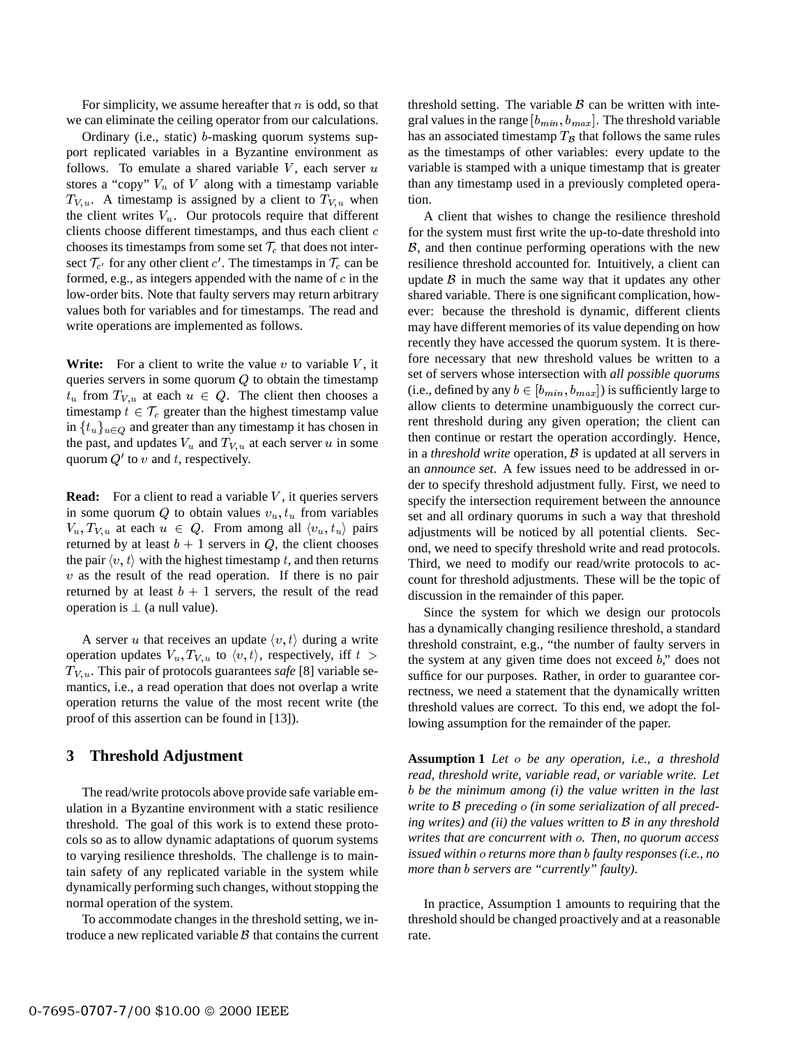For simplicity, we assume hereafter that  $n$  is odd, so that we can eliminate the ceiling operator from our calculations.

Ordinary (i.e., static) b-masking quorum systems support replicated variables in a Byzantine environment as follows. To emulate a shared variable  $V$ , each server  $u$ stores a "copy"  $V_u$  of V along with a timestamp variable  $T_{V,u}$ . A timestamp is assigned by a client to  $T_{V,u}$  when the client writes  $V_u$ . Our protocols require that different clients choose different timestamps, and thus each client  $c$ chooses its timestamps from some set  $\mathcal{T}_c$  that does not intersect  $\mathcal{T}_{c'}$  for any other client c'. The timestamps in  $\mathcal{T}_c$  can be formed, e.g., as integers appended with the name of  $c$  in the low-order bits. Note that faulty servers may return arbitrary values both for variables and for timestamps. The read and write operations are implemented as follows.

**Write:** For a client to write the value  $v$  to variable  $V$ , it queries servers in some quorum  $Q$  to obtain the timestamp  $t_u$  from  $T_{V,u}$  at each  $u \in Q$ . The client then chooses a timestamp  $t \in \mathcal{T}_c$  greater than the highest timestamp value in  $\{t_u\}_{u\in Q}$  and greater than any timestamp it has chosen in the past, and updates  $V_u$  and  $T_{V,u}$  at each server u in some quorum  $Q'$  to v and t, respectively.

**Read:** For a client to read a variable V, it queries servers in some quorum Q to obtain values  $v_u$ ,  $t_u$  from variables  $V_u, T_{V, u}$  at each  $u \in Q$ . From among all  $\langle v_u, t_u \rangle$  pairs returned by at least  $b + 1$  servers in  $Q$ , the client chooses the pair  $\langle v, t \rangle$  with the highest timestamp t, and then returns  $v$  as the result of the read operation. If there is no pair returned by at least  $b + 1$  servers, the result of the read operation is  $\perp$  (a null value).

A server u that receives an update  $\langle v, t \rangle$  during a write operation updates  $V_u$ ,  $T_{V,u}$  to  $\langle v, t \rangle$ , respectively, iff  $t >$  $T_{V, u}$ . This pair of protocols guarantees *safe* [8] variable semantics, i.e., a read operation that does not overlap a write operation returns the value of the most recent write (the proof of this assertion can be found in [13]).

# **3 Threshold Adjustment**

The read/write protocols above provide safe variable emulation in a Byzantine environment with a static resilience threshold. The goal of this work is to extend these protocols so as to allow dynamic adaptations of quorum systems to varying resilience thresholds. The challenge is to maintain safety of any replicated variable in the system while dynamically performing such changes, without stopping the normal operation of the system.

To accommodate changes in the threshold setting, we introduce a new replicated variable  $\beta$  that contains the current threshold setting. The variable  $\beta$  can be written with integral values in the range  $[b_{min}, b_{max}]$ . The threshold variable has an associated timestamp  $T_B$  that follows the same rules as the timestamps of other variables: every update to the variable is stamped with a unique timestamp that is greater than any timestamp used in a previously completed operation.

A client that wishes to change the resilience threshold for the system must first write the up-to-date threshold into  $B$ , and then continue performing operations with the new resilience threshold accounted for. Intuitively, a client can update  $\beta$  in much the same way that it updates any other shared variable. There is one significant complication, however: because the threshold is dynamic, different clients may have different memories of its value depending on how recently they have accessed the quorum system. It is therefore necessary that new threshold values be written to a set of servers whose intersection with *all possible quorums* (i.e., defined by any  $b \in [b_{min}, b_{max}]$ ) is sufficiently large to allow clients to determine unambiguously the correct current threshold during any given operation; the client can then continue or restart the operation accordingly. Hence, in a *threshold write* operation, <sup>B</sup> is updated at all servers in an *announce set*. A few issues need to be addressed in order to specify threshold adjustment fully. First, we need to specify the intersection requirement between the announce set and all ordinary quorums in such a way that threshold adjustments will be noticed by all potential clients. Second, we need to specify threshold write and read protocols. Third, we need to modify our read/write protocols to account for threshold adjustments. These will be the topic of discussion in the remainder of this paper.

Since the system for which we design our protocols has a dynamically changing resilience threshold, a standard threshold constraint, e.g., "the number of faulty servers in the system at any given time does not exceed  $b$ ," does not suffice for our purposes. Rather, in order to guarantee correctness, we need a statement that the dynamically written threshold values are correct. To this end, we adopt the following assumption for the remainder of the paper.

**Assumption 1** *Let* o *be any operation, i.e., a threshold read, threshold write, variable read, or variable write. Let* b *be the minimum among (i) the value written in the last write to* <sup>B</sup> *preceding* <sup>o</sup> *(in some serialization of all preceding writes) and (ii) the values written to* <sup>B</sup> *in any threshold writes that are concurrent with* <sup>o</sup>*. Then, no quorum access issued within* o *returns more than* b *faulty responses (i.e., no more than* b *servers are "currently" faulty).*

In practice, Assumption 1 amounts to requiring that the threshold should be changed proactively and at a reasonable rate.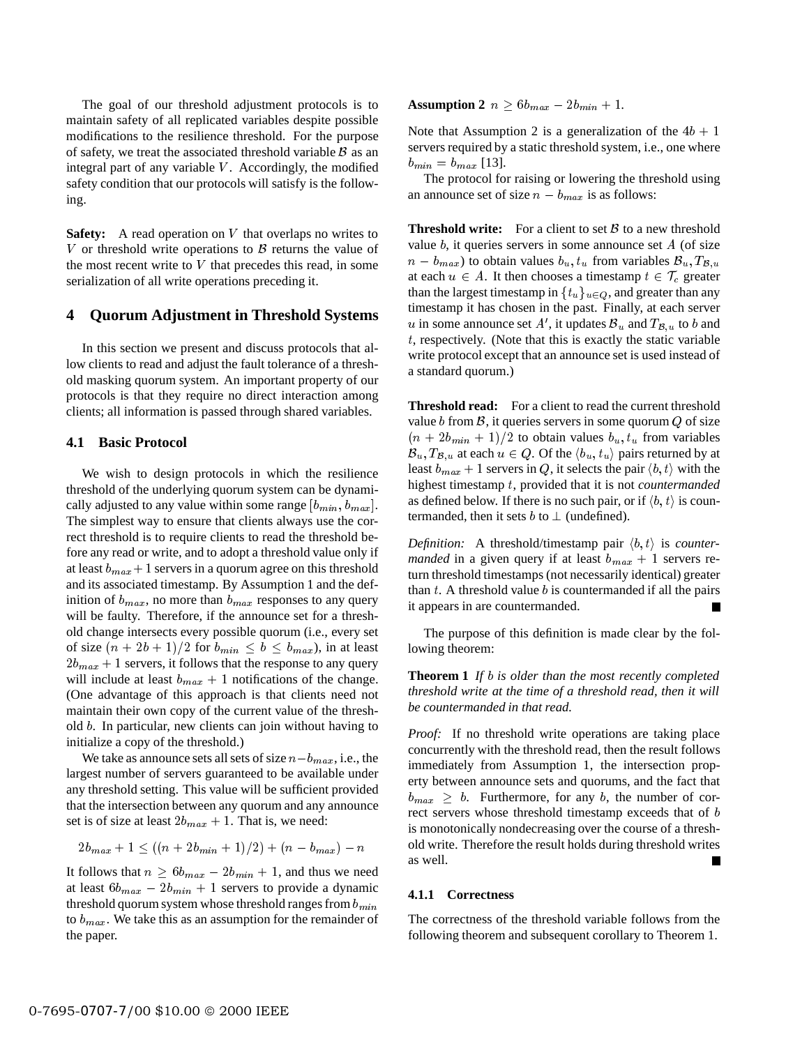The goal of our threshold adjustment protocols is to maintain safety of all replicated variables despite possible modifications to the resilience threshold. For the purpose of safety, we treat the associated threshold variable  $\beta$  as an integral part of any variable  $V$ . Accordingly, the modified safety condition that our protocols will satisfy is the following.

**Safety:** A read operation on V that overlaps no writes to V or threshold write operations to  $\beta$  returns the value of the most recent write to  $V$  that precedes this read, in some serialization of all write operations preceding it.

# **4 Quorum Adjustment in Threshold Systems**

In this section we present and discuss protocols that allow clients to read and adjust the fault tolerance of a threshold masking quorum system. An important property of our protocols is that they require no direct interaction among clients; all information is passed through shared variables.

#### **4.1 Basic Protocol**

We wish to design protocols in which the resilience threshold of the underlying quorum system can be dynamically adjusted to any value within some range  $[b_{min}, b_{max}]$ . The simplest way to ensure that clients always use the correct threshold is to require clients to read the threshold before any read or write, and to adopt a threshold value only if at least  $b_{max} + 1$  servers in a quorum agree on this threshold and its associated timestamp. By Assumption 1 and the definition of  $b_{max}$ , no more than  $b_{max}$  responses to any query will be faulty. Therefore, if the announce set for a threshold change intersects every possible quorum (i.e., every set of size  $(n + 2b + 1)/2$  for  $b_{min} \le b \le b_{max}$ ), in at least  $2b_{max} + 1$  servers, it follows that the response to any query will include at least  $b_{max} + 1$  notifications of the change. (One advantage of this approach is that clients need not maintain their own copy of the current value of the threshold <sup>b</sup>. In particular, new clients can join without having to initialize a copy of the threshold.)

We take as announce sets all sets of size  $n-b_{max}$ , i.e., the largest number of servers guaranteed to be available under any threshold setting. This value will be sufficient provided that the intersection between any quorum and any announce set is of size at least  $2b_{max} + 1$ . That is, we need:

$$
2b_{\,max}+1\leq ((n+2b_{\,min}+1)/2)+(n-b_{\,max})-n\qquad\qquad\text{old}\, \mathsf{v}
$$

It follows that  $n \geq 6b_{max} - 2b_{min} + 1$ , and thus we need at least  $6b_{max} - 2b_{min} + 1$  servers to provide a dynamic threshold quorum system whose threshold ranges from  $b_{min}$ to  $b_{max}$ . We take this as an assumption for the remainder of the paper.

**Assumption 2**  $n \geq 6b_{max} - 2b_{min} + 1$ .

Note that Assumption 2 is a generalization of the  $4b + 1$ servers required by a static threshold system, i.e., one where  $b_{min} = b_{max}$  [13].

The protocol for raising or lowering the threshold using an announce set of size  $n - b_{max}$  is as follows:

**Threshold write:** For a client to set  $\beta$  to a new threshold value  $b$ , it queries servers in some announce set  $A$  (of size  $n - b_{max}$ ) to obtain values  $b_u, t_u$  from variables  $B_u, T_{B,u}$ value *b*, it queries servers in some announce set *A* (of size  $n - b_{max}$ ) to obtain values  $b_u$ ,  $t_u$  from variables  $B_u$ ,  $T_{B,u}$  at each  $u \in A$ . It then chooses a timestamp  $t \in \mathcal{T}_c$  greater than the largest timestamp in  $\{t_u\}_{u\in\Omega}$ , and greater than any timestamp it has chosen in the past. Finally, at each server u in some announce set A', it updates  $B_u$  and  $T_{B,u}$  to b and t, respectively. (Note that this is exactly the static variable write protocol except that an announce set is used instead of a standard quorum.)

**Threshold read:** For a client to read the current threshold value b from  $\beta$ , it queries servers in some quorum  $Q$  of size  $(n + 2b_{min} + 1)/2$  to obtain values  $b_u, t_u$  from variables  $\mathcal{B}_u, T_{\mathcal{B},u}$  at each  $u \in Q$ . Of the  $\langle b_u, t_u \rangle$  pairs returned by at least  $b_{max} + 1$  servers in Q, it selects the pair  $\langle b, t \rangle$  with the highest timestamp <sup>t</sup>, provided that it is not *countermanded* as defined below. If there is no such pair, or if  $\langle b, t \rangle$  is countermanded, then it sets b to  $\perp$  (undefined).

*Definition:* A threshold/timestamp pair  $\langle b, t \rangle$  is *countermanded* in a given query if at least  $b_{max} + 1$  servers return threshold timestamps (not necessarily identical) greater than  $t$ . A threshold value  $b$  is countermanded if all the pairs it appears in are countermanded.

The purpose of this definition is made clear by the following theorem:

**Theorem 1** *If* <sup>b</sup> *is older than the most recently completed threshold write at the time of a threshold read, then it will be countermanded in that read.*

*Proof:* If no threshold write operations are taking place concurrently with the threshold read, then the result follows immediately from Assumption 1, the intersection property between announce sets and quorums, and the fact that  $b_{max} \geq b$ . Furthermore, for any b, the number of correct servers whose threshold timestamp exceeds that of <sup>b</sup> is monotonically nondecreasing over the course of a threshold write. Therefore the result holds during threshold writes as well. П

#### **4.1.1 Correctness**

The correctness of the threshold variable follows from the following theorem and subsequent corollary to Theorem 1.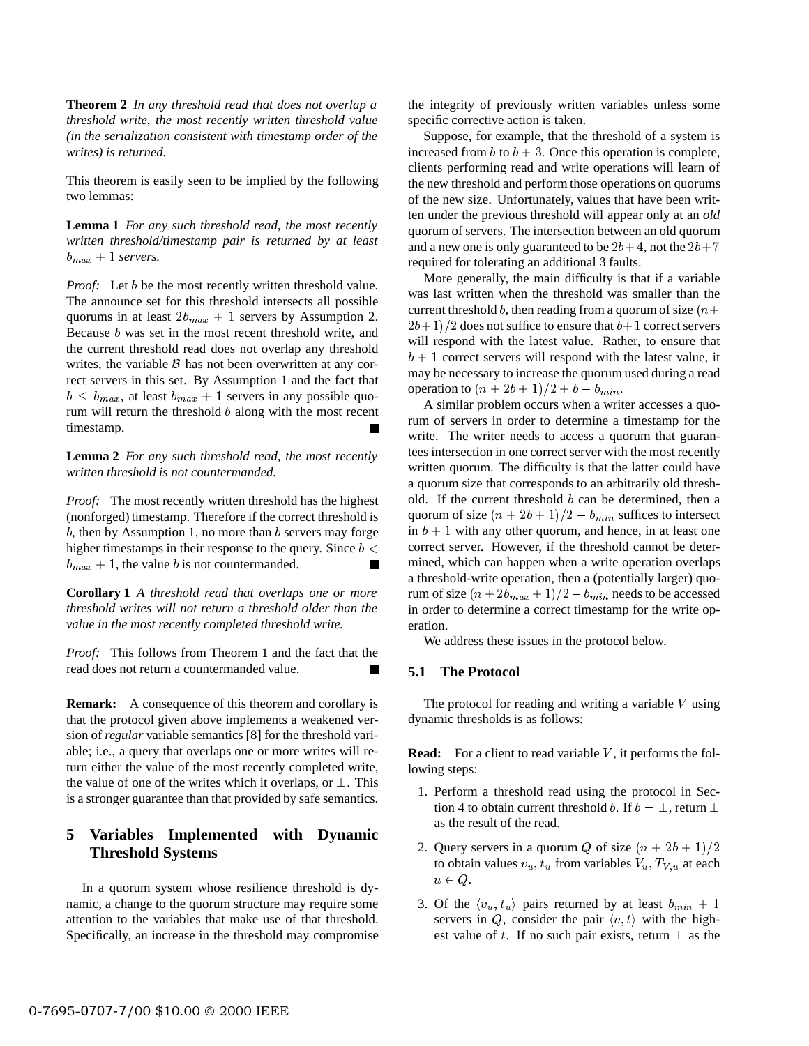**Theorem 2** *In any threshold read that does not overlap a threshold write, the most recently written threshold value (in the serialization consistent with timestamp order of the writes) is returned.*

This theorem is easily seen to be implied by the following two lemmas:

**Lemma 1** *For any such threshold read, the most recently written threshold/timestamp pair is returned by at least*  $b_{max} + 1$  *servers.* 

*Proof:* Let b be the most recently written threshold value. The announce set for this threshold intersects all possible quorums in at least  $2b_{max} + 1$  servers by Assumption 2. Because b was set in the most recent threshold write, and the current threshold read does not overlap any threshold writes, the variable  $\beta$  has not been overwritten at any correct servers in this set. By Assumption 1 and the fact that  $b \leq b_{max}$ , at least  $b_{max} + 1$  servers in any possible quorum will return the threshold  $b$  along with the most recent timestamp.

**Lemma 2** *For any such threshold read, the most recently written threshold is not countermanded.*

*Proof:* The most recently written threshold has the highest (nonforged) timestamp. Therefore if the correct threshold is b, then by Assumption 1, no more than b servers may forge higher timestamps in their response to the query. Since  $b <$  $b_{max} + 1$ , the value b is not countermanded.

**Corollary 1** *A threshold read that overlaps one or more threshold writes will not return a threshold older than the value in the most recently completed threshold write.*

*Proof:* This follows from Theorem 1 and the fact that the read does not return a countermanded value. П

**Remark:** A consequence of this theorem and corollary is that the protocol given above implements a weakened version of *regular* variable semantics [8] for the threshold variable; i.e., a query that overlaps one or more writes will return either the value of the most recently completed write, the value of one of the writes which it overlaps, or  $\perp$ . This is a stronger guarantee than that provided by safe semantics.

# **5 Variables Implemented with Dynamic Threshold Systems**

In a quorum system whose resilience threshold is dynamic, a change to the quorum structure may require some attention to the variables that make use of that threshold. Specifically, an increase in the threshold may compromise the integrity of previously written variables unless some specific corrective action is taken.

Suppose, for example, that the threshold of a system is increased from  $b$  to  $b + 3$ . Once this operation is complete, clients performing read and write operations will learn of the new threshold and perform those operations on quorums of the new size. Unfortunately, values that have been written under the previous threshold will appear only at an *old* quorum of servers. The intersection between an old quorum and a new one is only guaranteed to be  $2b + 4$ , not the  $2b + 7$ required for tolerating an additional <sup>3</sup> faults.

More generally, the main difficulty is that if a variable was last written when the threshold was smaller than the current threshold b, then reading from a quorum of size  $(n+$  $2b+1/2$  does not suffice to ensure that  $b+1$  correct servers will respond with the latest value. Rather, to ensure that  $b + 1$  correct servers will respond with the latest value, it may be necessary to increase the quorum used during a read operation to  $(n+2b+1)/2 + b - b_{min}$ .

A similar problem occurs when a writer accesses a quorum of servers in order to determine a timestamp for the write. The writer needs to access a quorum that guarantees intersection in one correct server with the most recently written quorum. The difficulty is that the latter could have a quorum size that corresponds to an arbitrarily old threshold. If the current threshold  $b$  can be determined, then a quorum of size  $(n + 2b + 1)/2 - b_{min}$  suffices to intersect in  $b + 1$  with any other quorum, and hence, in at least one correct server. However, if the threshold cannot be determined, which can happen when a write operation overlaps a threshold-write operation, then a (potentially larger) quorum of size  $(n+2b_{max}+1)/2 - b_{min}$  needs to be accessed in order to determine a correct timestamp for the write operation.

We address these issues in the protocol below.

## **5.1 The Protocol**

The protocol for reading and writing a variable  $V$  using dynamic thresholds is as follows:

**Read:** For a client to read variable V, it performs the following steps:

- 1. Perform a threshold read using the protocol in Section 4 to obtain current threshold b. If  $b = \perp$ , return  $\perp$ as the result of the read.
- 2. Query servers in a quorum Q of size  $(n + 2b + 1)/2$ to obtain values  $v_u$ ,  $t_u$  from variables  $V_u$ ,  $T_{V,u}$  at each  $u \in Q$ .
- 3. Of the  $\langle v_u, t_u \rangle$  pairs returned by at least  $b_{min} + 1$ servers in Q, consider the pair  $\langle v, t \rangle$  with the highest value of t. If no such pair exists, return  $\perp$  as the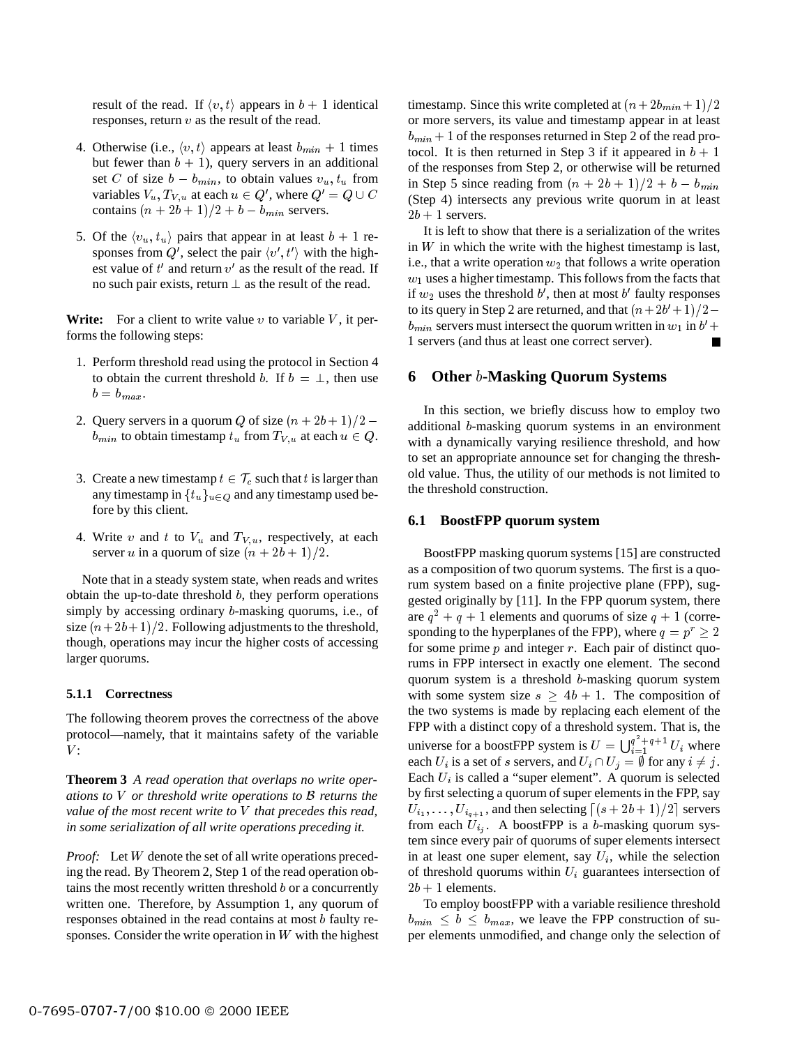result of the read. If  $\langle v, t \rangle$  appears in  $b + 1$  identical responses, return v as the result of the read.

- 4. Otherwise (i.e.,  $\langle v, t \rangle$  appears at least  $b_{min} + 1$  times but fewer than  $b + 1$ , query servers in an additional set C of size  $b - b_{min}$ , to obtain values  $v_u, t_u$  from variables  $V_u$ ,  $T_{V,u}$  at each  $u \in Q'$ , where  $Q' = Q \cup C$  (Step 4) contains  $(n + 2b + 1)/2 + b - b_{min}$  servers.
- 5. Of the  $\langle v_u, t_u \rangle$  pairs that appear in at least  $b + 1$  responses from Q', select the pair  $\langle v', t'\rangle$  with the highest value of  $t'$  and return  $v'$  as the result of the read. If no such pair exists, return  $\perp$  as the result of the read.

**Write:** For a client to write value  $v$  to variable  $V$ , it performs the following steps:

- 1. Perform threshold read using the protocol in Section 4 to obtain the current threshold b. If  $b = \perp$ , then use  $b = b_{max}$ .
- 2. Query servers in a quorum Q of size  $(n+2b+1)/2$   $b_{min}$  to obtain timestamp  $t_u$  from  $T_{V,u}$  at each  $u \in Q$ .
- 3. Create a new timestamp  $t \in \mathcal{T}_c$  such that t is larger than any timestamp in  $\{t_u\}_{u\in Q}$  and any timestamp used before by this client.
- 4. Write v and t to  $V_u$  and  $T_{V, u}$ , respectively, at each server u in a quorum of size  $(n+2b+1)/2$ .

Note that in a steady system state, when reads and writes obtain the up-to-date threshold  $b$ , they perform operations simply by accessing ordinary <sup>b</sup>-masking quorums, i.e., of size  $(n+2b+1)/2$ . Following adjustments to the threshold, though, operations may incur the higher costs of accessing larger quorums.

#### **5.1.1 Correctness**

The following theorem proves the correctness of the above protocol—namely, that it maintains safety of the variable  $V:$ 

**Theorem 3** *A read operation that overlaps no write operations to* <sup>V</sup> *or threshold write operations to* <sup>B</sup> *returns the value of the most recent write to* <sup>V</sup> *that precedes this read, in some serialization of all write operations preceding it.*

*Proof:* Let W denote the set of all write operations preceding the read. By Theorem 2, Step 1 of the read operation obtains the most recently written threshold <sup>b</sup> or a concurrently written one. Therefore, by Assumption 1, any quorum of responses obtained in the read contains at most <sup>b</sup> faulty responses. Consider the write operation in  $W$  with the highest

timestamp. Since this write completed at  $(n+2b_{min}+1)/2$ or more servers, its value and timestamp appear in at least  $b_{min} + 1$  of the responses returned in Step 2 of the read protocol. It is then returned in Step 3 if it appeared in  $b + 1$ of the responses from Step 2, or otherwise will be returned in Step 5 since reading from  $(n + 2b + 1)/2 + b - b_{min}$ (Step 4) intersects any previous write quorum in at least  $2b + 1$  servers.

It is left to show that there is a serialization of the writes in  $W$  in which the write with the highest timestamp is last, i.e., that a write operation  $w_2$  that follows a write operation  $w_1$  uses a higher timestamp. This follows from the facts that if  $w_2$  uses the threshold b', then at most b' faulty responses to its query in Step 2 are returned, and that  $(n+2b'+1)/2$  $b_{min}$  servers must intersect the quorum written in  $w_1$  in  $b'$  + <sup>1</sup> servers (and thus at least one correct server). Г

# **6 Other** <sup>b</sup>**-Masking Quorum Systems**

In this section, we briefly discuss how to employ two additional b-masking quorum systems in an environment with a dynamically varying resilience threshold, and how to set an appropriate announce set for changing the threshold value. Thus, the utility of our methods is not limited to the threshold construction.

# **6.1 BoostFPP quorum system**

BoostFPP masking quorum systems [15] are constructed as a composition of two quorum systems. The first is a quorum system based on a finite projective plane (FPP), suggested originally by [11]. In the FPP quorum system, there are  $q^2 + q + 1$  elements and quorums of size  $q + 1$  (corresponding to the hyperplanes of the FPP), where  $q = p^r \ge 2$ for some prime  $p$  and integer  $r$ . Each pair of distinct quorums in FPP intersect in exactly one element. The second quorum system is a threshold <sup>b</sup>-masking quorum system with some system size  $s \geq 4b + 1$ . The composition of the two systems is made by replacing each element of the FPP with a distinct copy of a threshold system. That is, the universe for a boostFPP system is  $U = \bigcup_{i=1}^{q} T_i^{q+1} U_i$  where each  $U_i$  is a set of s servers, and  $U_i \cap U_j = \emptyset$  for any  $i \neq j$ . Each  $U_i$  is called a "super element". A quorum is selected by first selecting a quorum of super elements in the FPP, say  $U_{i_1}, \ldots, U_{i_{q+1}}$ , and then selecting  $\lfloor (s + 2b + 1)/2 \rfloor$  servers from each  $U_{i_j}$ . A boostFPP is a b-masking quorum system since every pair of quorums of super elements intersect in at least one super element, say  $U_i$ , while the selection of threshold quorums within  $U_i$  guarantees intersection of  $2b + 1$  elements.

To employ boostFPP with a variable resilience threshold  $b_{min} \le b \le b_{max}$ , we leave the FPP construction of super elements unmodified, and change only the selection of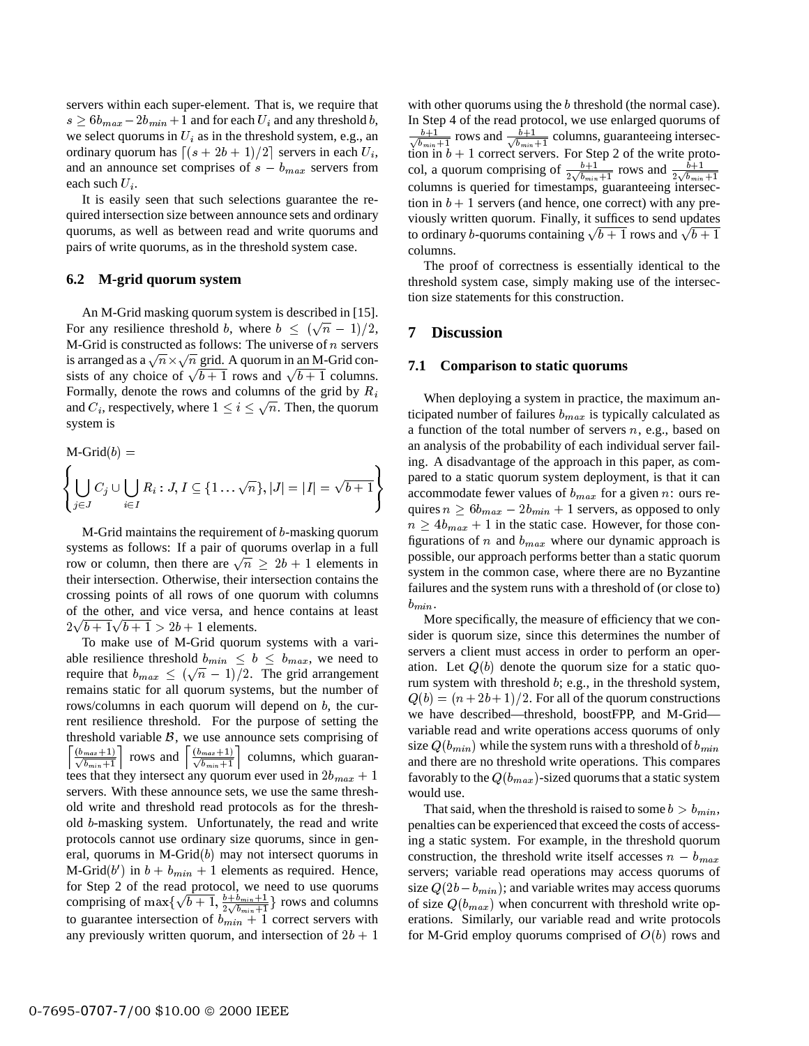servers within each super-element. That is, we require that  $s \geq 6b_{max} - 2b_{min} + 1$  and for each  $U_i$  and any threshold b, we select quorums in  $U_i$  as in the threshold system, e.g., an ordinary quorum has  $\left[\left(s + 2b + 1\right)/2\right]$  servers in each  $U_i$ , and an announce set comprises of  $s - b_{max}$  servers from each such  $U_i$ .

It is easily seen that such selections guarantee the required intersection size between announce sets and ordinary quorums, as well as between read and write quorums and pairs of write quorums, as in the threshold system case.

### **6.2 M-grid quorum system**

An M-Grid masking quorum system is described in [15]. For any resilience threshold b, where  $b \le (\sqrt{n} - 1)/2$ ,  $\overline{7}$ M-Grid is constructed as follows: The universe of  $n$  servers is arranged as a  $\sqrt{n}$   $\times$   $\sqrt{n}$  grid. A quorum in an M-Grid consists of any choice of  $\sqrt{b+1}$  rows and  $\sqrt{b+1}$  columns. Formally, denote the rows and columns of the grid by  $R_i$ and  $C_i$ , respectively, where  $1 \leq i \leq \sqrt{n}$ . Then, the quorum system is

$$
\mathsf{M\text{-}Grid}(b) = \begin{cases}\n\text{and } \\
\bigcup_{j \in J} C_j \cup \bigcup_{i \in I} R_i : J, I \subseteq \{1 \dots \sqrt{n}\}, |J| = |I| = \sqrt{b+1}\n\end{cases}\n\text{and } \n\text{and } \n\text{and } \n\text{and } \n\text{and } \n\text{and } \n\text{and } \n\text{and } \n\text{and } \n\text{and } \n\text{and } \n\text{and } \n\text{and } \n\text{and } \n\text{and } \n\text{and } \n\text{and } \n\text{and } \n\text{and } \n\text{and } \n\text{and } \n\text{and } \n\text{and } \n\text{and } \n\text{and } \n\text{and } \n\text{and } \n\text{and } \n\text{and } \n\text{and } \n\text{and } \n\text{and } \n\text{and } \n\text{and } \n\text{and } \n\text{and } \n\text{and } \n\text{and } \n\text{and } \n\text{and } \n\text{and } \n\text{and } \n\text{and } \n\text{and } \n\text{and } \n\text{and } \n\text{and } \n\text{and } \n\text{and } \n\text{and } \n\text{and } \n\text{and } \n\text{and } \n\text{and } \n\text{and } \n\text{and } \n\text{and } \n\text{and } \n\text{and } \n\text{and } \n\text{and } \n\text{and } \n\text{and } \n\text{and } \n\text{and } \n\text{and } \n\text{and } \n\text{and } \n\text{and } \n\text{and } \n\text{and } \n\text{and } \n\text{and } \n\text{and } \n\text{and } \n\text{and } \n\text{and } \n\text{and } \n\text{and } \n\text{and } \n\text{and } \n\text{and } \n\text{and } \n\text{and } \n\text{and } \n\text{and } \n\text{and } \n\text{and } \n\text{and } \n\text{and } \n\text{and } \n\text{and } \n\text{and } \n\text{and } \n\text{and } \n\text{and }
$$

M-Grid maintains the requirement of b-masking quorum systems as follows: If a pair of quorums overlap in a full row or column, then there are  $\sqrt{n} \ge 2b + 1$  elements in their intersection. Otherwise, their intersection contains the crossing points of all rows of one quorum with columns of the other, and vice versa, and hence contains at least  $2\sqrt{b+1}\sqrt{b+1} > 2b+1$  elements.

To make use of M-Grid quorum systems with a variable resilience threshold  $b_{min} \leq b \leq b_{max}$ , we need to require that  $b_{max} \leq (\sqrt{n} - 1)/2$ . The grid arrangement remains static for all quorum systems, but the number of rows/columns in each quorum will depend on  $b$ , the current resilience threshold. For the purpose of setting the threshold variable  $\beta$ , we use announce sets comprising of  $\left[\frac{(b_{max}+1)}{\sqrt{b_{min}+1}}\right]$  rows and  $\left[\frac{(b_{max}+1)}{\sqrt{b_{min}+1}}\right]$  columns, which guarantees that they intersect any quorum ever used in  $2b_{max} + 1$ servers. With these announce sets, we use the same threshold write and threshold read protocols as for the threshold <sup>b</sup>-masking system. Unfortunately, the read and write protocols cannot use ordinary size quorums, since in general, quorums in M-Grid $(b)$  may not intersect quorums in M-Grid(b') in  $b + b_{min} + 1$  elements as required. Hence, for Step 2 of the read protocol, we need to use quorums comprising of  $\max\{\sqrt{b+1}, \frac{b+b_{min}+1}{2\sqrt{b_{min}+1}}\}$  rows and columns to guarantee intersection of  $b_{min} + 1$  correct servers with any previously written quorum, and intersection of  $2b + 1$ 

with other quorums using the *b* threshold (the normal case). In Step 4 of the read protocol, we use enlarged quorums of  $\frac{b+1}{\sqrt{b_{min}+1}}$  rows and  $\frac{b+1}{\sqrt{b_{min}+1}}$  columns, guaranteeing intersection in  $b + 1$  correct servers. For Step 2 of the write protocol, a quorum comprising of  $\frac{b+1}{2\sqrt{b_{min}+1}}$  rows and  $\frac{b+1}{2\sqrt{b_{min}+1}}$ columns is queried for timestamps, guaranteeing intersection in  $b + 1$  servers (and hence, one correct) with any previously written quorum. Finally, it suffices to send updates to ordinary b-quorums containing  $\sqrt{b+1}$  rows and  $\sqrt{b+1}$ columns.

The proof of correctness is essentially identical to the threshold system case, simply making use of the intersection size statements for this construction.

## **7 Discussion**

#### **7.1 Comparison to static quorums**

 $b + 1$  accommodate fewer values of  $b_{max}$  for a given n: ours re-<sup>9</sup> ing. A disadvantage of the approach in this paper, as compared to a static quorum system deployment, is that it can  $\blacksquare$  ; and the contract of the contract of the contract of the contract of the contract of the contract of the contract of the contract of the contract of the contract of the contract of the contract of the contract of When deploying a system in practice, the maximum anticipated number of failures  $b_{max}$  is typically calculated as a function of the total number of servers  $n$ , e.g., based on an analysis of the probability of each individual server failquires  $n \geq 6b_{max} - 2b_{min} + 1$  servers, as opposed to only  $n > 4b_{max} + 1$  in the static case. However, for those configurations of n and  $b_{max}$  where our dynamic approach is possible, our approach performs better than a static quorum system in the common case, where there are no Byzantine failures and the system runs with a threshold of (or close to)  $b_{min}$ .

> More specifically, the measure of efficiency that we consider is quorum size, since this determines the number of servers a client must access in order to perform an operation. Let  $Q(b)$  denote the quorum size for a static quorum system with threshold b; e.g., in the threshold system,  $Q(b)=(n+ 2b+ 1)/2$ . For all of the quorum constructions we have described—threshold, boostFPP, and M-Grid variable read and write operations access quorums of only size  $Q(b_{min})$  while the system runs with a threshold of  $b_{min}$ and there are no threshold write operations. This compares favorably to the  $Q(b_{max})$ -sized quorums that a static system would use.

> That said, when the threshold is raised to some  $b>b_{min}$ , penalties can be experienced that exceed the costs of accessing a static system. For example, in the threshold quorum construction, the threshold write itself accesses  $n - b_{max}$ servers; variable read operations may access quorums of size  $Q(2b-b_{min})$ ; and variable writes may access quorums of size  $Q(b_{max})$  when concurrent with threshold write operations. Similarly, our variable read and write protocols for M-Grid employ quorums comprised of  $O(b)$  rows and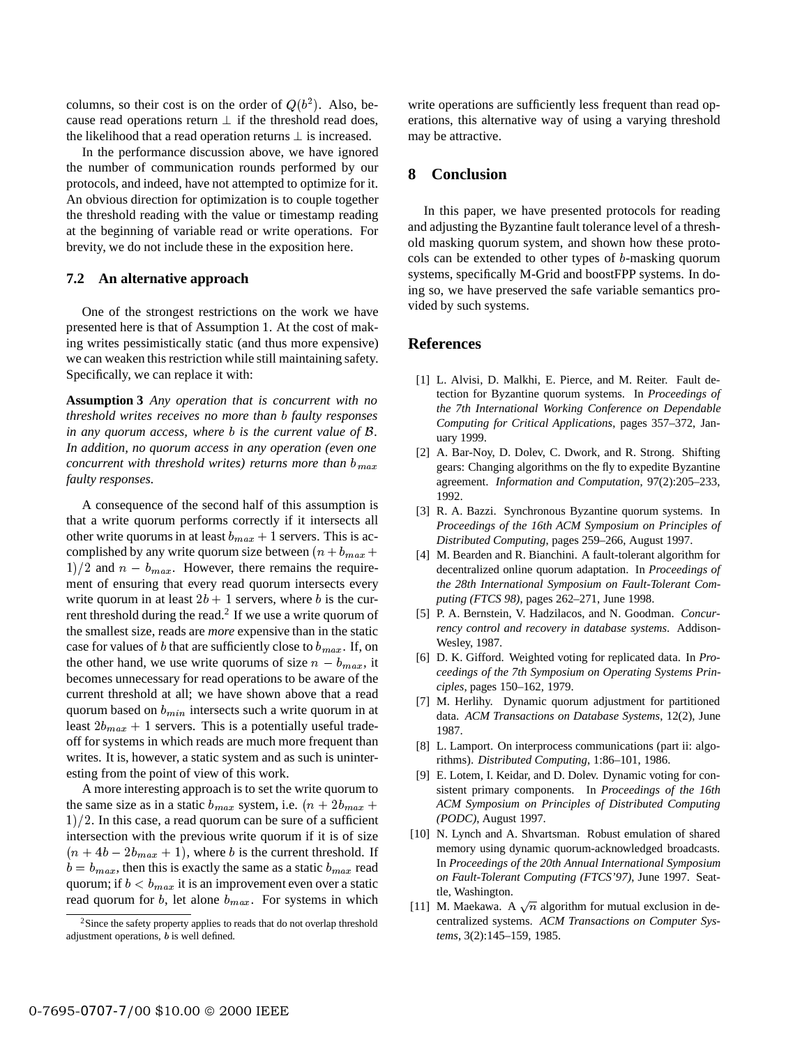columns, so their cost is on the order of  $Q(b^2)$ . Also, because read operations return  $\perp$  if the threshold read does, the likelihood that a read operation returns  $\perp$  is increased.

In the performance discussion above, we have ignored the number of communication rounds performed by our protocols, and indeed, have not attempted to optimize for it. An obvious direction for optimization is to couple together the threshold reading with the value or timestamp reading at the beginning of variable read or write operations. For brevity, we do not include these in the exposition here.

#### **7.2 An alternative approach**

One of the strongest restrictions on the work we have presented here is that of Assumption 1. At the cost of making writes pessimistically static (and thus more expensive) we can weaken this restriction while still maintaining safety. Specifically, we can replace it with:

**Assumption 3** *Any operation that is concurrent with no threshold writes receives no more than* <sup>b</sup> *faulty responses in any quorum access, where* <sup>b</sup> *is the current value of* <sup>B</sup>*. In addition, no quorum access in any operation (even one concurrent with threshold writes) returns more than*  $b_{max}$ *faulty responses.*

A consequence of the second half of this assumption is that a write quorum performs correctly if it intersects all other write quorums in at least  $b_{max} + 1$  servers. This is accomplished by any write quorum size between  $(n + b_{max} +$  $1/2$  and  $n - b_{max}$ . However, there remains the requirement of ensuring that every read quorum intersects every write quorum in at least  $2b + 1$  servers, where b is the current threshold during the read. $<sup>2</sup>$  If we use a write quorum of</sup> the smallest size, reads are *more* expensive than in the static case for values of b that are sufficiently close to  $b_{max}$ . If, on the other hand, we use write quorums of size  $n - b_{max}$ , it becomes unnecessary for read operations to be aware of the current threshold at all; we have shown above that a read quorum based on  $b_{min}$  intersects such a write quorum in at least  $2b_{max} + 1$  servers. This is a potentially useful tradeoff for systems in which reads are much more frequent than writes. It is, however, a static system and as such is uninteresting from the point of view of this work.

A more interesting approach is to set the write quorum to the same size as in a static  $b_{max}$  system, i.e.  $(n + 2b_{max} +$  $1/2$ . In this case, a read quorum can be sure of a sufficient intersection with the previous write quorum if it is of size  $(n + 4b - 2b_{max} + 1)$ , where b is the current threshold. If  $b = b_{max}$ , then this is exactly the same as a static  $b_{max}$  read quorum; if  $b < b_{max}$  it is an improvement even over a static read quorum for b, let alone  $b_{max}$ . For systems in which write operations are sufficiently less frequent than read operations, this alternative way of using a varying threshold may be attractive.

# **8 Conclusion**

In this paper, we have presented protocols for reading and adjusting the Byzantine fault tolerance level of a threshold masking quorum system, and shown how these protocols can be extended to other types of <sup>b</sup>-masking quorum systems, specifically M-Grid and boostFPP systems. In doing so, we have preserved the safe variable semantics provided by such systems.

# **References**

- [1] L. Alvisi, D. Malkhi, E. Pierce, and M. Reiter. Fault detection for Byzantine quorum systems. In *Proceedings of the 7th International Working Conference on Dependable Computing for Critical Applications*, pages 357–372, January 1999.
- [2] A. Bar-Noy, D. Dolev, C. Dwork, and R. Strong. Shifting gears: Changing algorithms on the fly to expedite Byzantine agreement. *Information and Computation*, 97(2):205–233, 1992.
- [3] R. A. Bazzi. Synchronous Byzantine quorum systems. In *Proceedings of the 16th ACM Symposium on Principles of Distributed Computing*, pages 259–266, August 1997.
- [4] M. Bearden and R. Bianchini. A fault-tolerant algorithm for decentralized online quorum adaptation. In *Proceedings of the 28th International Symposium on Fault-Tolerant Computing (FTCS 98)*, pages 262–271, June 1998.
- [5] P. A. Bernstein, V. Hadzilacos, and N. Goodman. *Concurrency control and recovery in database systems*. Addison-Wesley, 1987.
- [6] D. K. Gifford. Weighted voting for replicated data. In *Proceedings of the 7th Symposium on Operating Systems Principles*, pages 150–162, 1979.
- [7] M. Herlihy. Dynamic quorum adjustment for partitioned data. *ACM Transactions on Database Systems*, 12(2), June 1987.
- [8] L. Lamport. On interprocess communications (part ii: algorithms). *Distributed Computing*, 1:86–101, 1986.
- [9] E. Lotem, I. Keidar, and D. Dolev. Dynamic voting for consistent primary components. In *Proceedings of the 16th ACM Symposium on Principles of Distributed Computing (PODC)*, August 1997.
- [10] N. Lynch and A. Shvartsman. Robust emulation of shared memory using dynamic quorum-acknowledged broadcasts. In *Proceedings of the 20th Annual International Symposium on Fault-Tolerant Computing (FTCS'97)*, June 1997. Seattle, Washington.
- [11] M. Maekawa. A  $\sqrt{n}$  algorithm for mutual exclusion in decentralized systems. *ACM Transactions on Computer Systems*, 3(2):145–159, 1985.

<sup>&</sup>lt;sup>2</sup>Since the safety property applies to reads that do not overlap threshold adjustment operations, <sup>b</sup> is well defined.